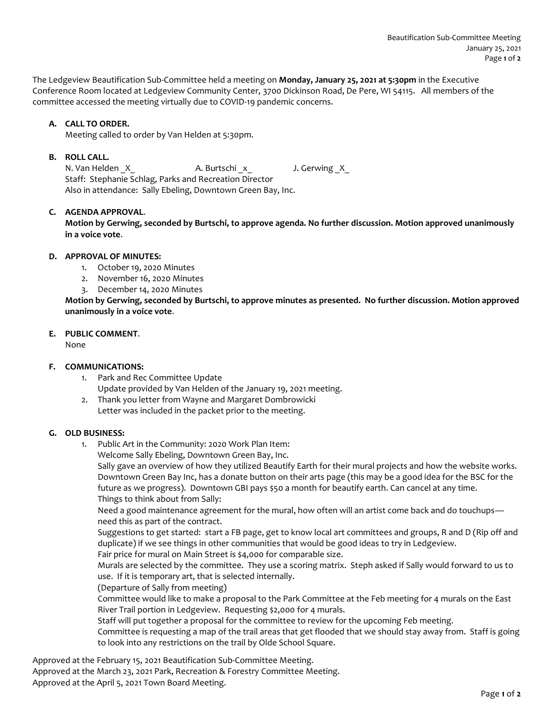The Ledgeview Beautification Sub-Committee held a meeting on **Monday, January 25, 2021 at 5:30pm** in the Executive Conference Room located at Ledgeview Community Center, 3700 Dickinson Road, De Pere, WI 54115. All members of the committee accessed the meeting virtually due to COVID-19 pandemic concerns.

# **A. CALL TO ORDER.**

Meeting called to order by Van Helden at 5:30pm.

## **B. ROLL CALL.**

N. Van Helden \_X\_ A. Burtschi \_x \_ J. Gerwing \_X\_ Staff: Stephanie Schlag, Parks and Recreation Director Also in attendance: Sally Ebeling, Downtown Green Bay, Inc.

# **C. AGENDA APPROVAL**.

**Motion by Gerwing, seconded by Burtschi, to approve agenda. No further discussion. Motion approved unanimously in a voice vote**.

## **D. APPROVAL OF MINUTES:**

- 1. October 19, 2020 Minutes
- 2. November 16, 2020 Minutes
- 3. December 14, 2020 Minutes

**Motion by Gerwing, seconded by Burtschi, to approve minutes as presented. No further discussion. Motion approved unanimously in a voice vote**.

# **E. PUBLIC COMMENT**.

None

## **F. COMMUNICATIONS:**

- 1. Park and Rec Committee Update Update provided by Van Helden of the January 19, 2021 meeting.
- 2. Thank you letter from Wayne and Margaret Dombrowicki Letter was included in the packet prior to the meeting.

## **G. OLD BUSINESS:**

1. Public Art in the Community: 2020 Work Plan Item:

Welcome Sally Ebeling, Downtown Green Bay, Inc.

Sally gave an overview of how they utilized Beautify Earth for their mural projects and how the website works. Downtown Green Bay Inc, has a donate button on their arts page (this may be a good idea for the BSC for the future as we progress). Downtown GBI pays \$50 a month for beautify earth. Can cancel at any time. Things to think about from Sally:

Need a good maintenance agreement for the mural, how often will an artist come back and do touchups need this as part of the contract.

Suggestions to get started: start a FB page, get to know local art committees and groups, R and D (Rip off and duplicate) if we see things in other communities that would be good ideas to try in Ledgeview.

Fair price for mural on Main Street is \$4,000 for comparable size.

Murals are selected by the committee. They use a scoring matrix. Steph asked if Sally would forward to us to use. If it is temporary art, that is selected internally.

(Departure of Sally from meeting)

Committee would like to make a proposal to the Park Committee at the Feb meeting for 4 murals on the East River Trail portion in Ledgeview. Requesting \$2,000 for 4 murals.

Staff will put together a proposal for the committee to review for the upcoming Feb meeting.

Committee is requesting a map of the trail areas that get flooded that we should stay away from. Staff is going to look into any restrictions on the trail by Olde School Square.

Approved at the February 15, 2021 Beautification Sub-Committee Meeting.

Approved at the March 23, 2021 Park, Recreation & Forestry Committee Meeting.

Approved at the April 5, 2021 Town Board Meeting.